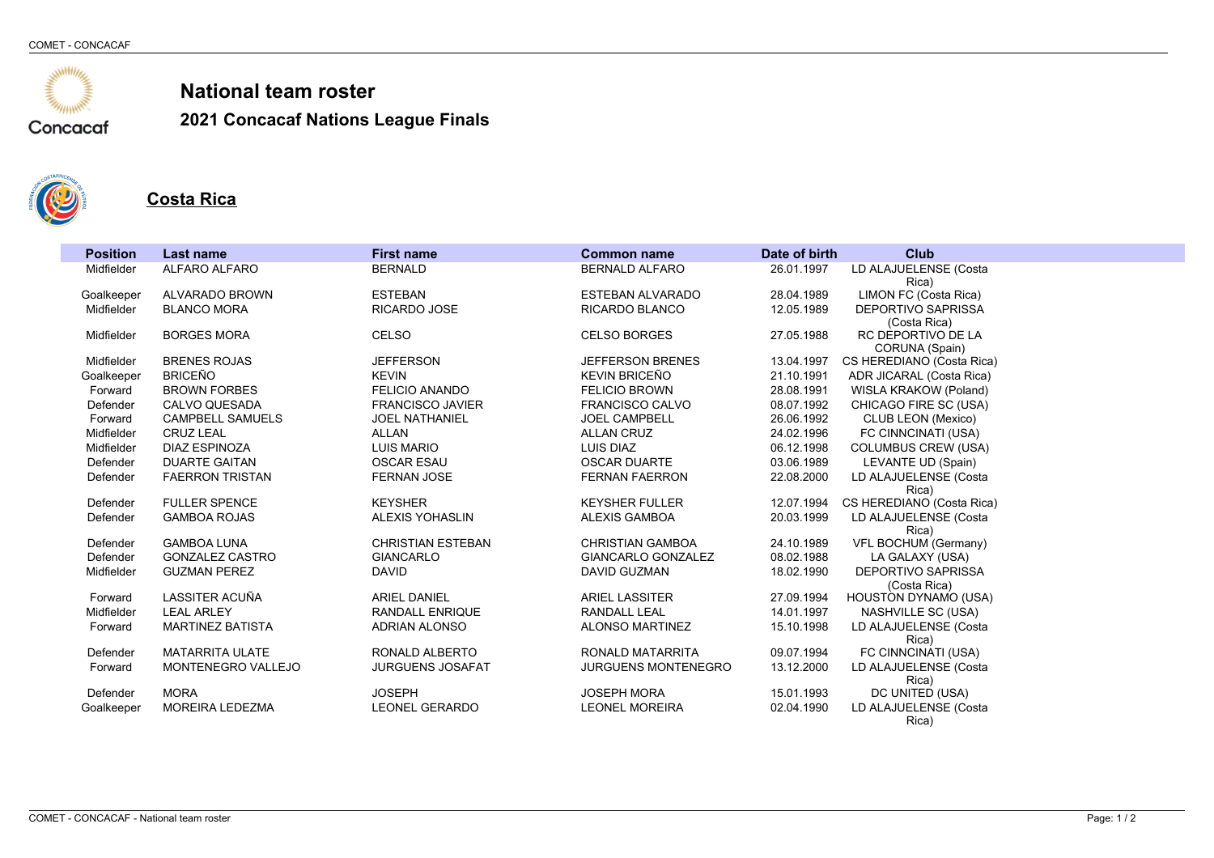

**2021 Concacaf Nations League Finals**



#### **Costa Rica**

| <b>Position</b> | <b>Last name</b>                      | <b>First name</b>                      | <b>Common name</b>         | Date of birth | <b>Club</b>                        |
|-----------------|---------------------------------------|----------------------------------------|----------------------------|---------------|------------------------------------|
| Midfielder      | ALFARO ALFARO                         | <b>BERNALD</b>                         | <b>BERNALD ALFARO</b>      | 26.01.1997    | LD ALAJUELENSE (Costa              |
|                 |                                       |                                        |                            |               | Rica)                              |
| Goalkeeper      | ALVARADO BROWN                        | <b>ESTEBAN</b>                         | <b>ESTEBAN ALVARADO</b>    | 28.04.1989    | LIMON FC (Costa Rica)              |
| Midfielder      | <b>BLANCO MORA</b>                    | <b>RICARDO JOSE</b>                    | <b>RICARDO BLANCO</b>      | 12.05.1989    | DEPORTIVO SAPRISSA                 |
| Midfielder      | <b>BORGES MORA</b>                    | <b>CELSO</b>                           | <b>CELSO BORGES</b>        | 27.05.1988    | (Costa Rica)<br>RC DEPORTIVO DE LA |
|                 |                                       |                                        |                            |               | CORUNA (Spain)                     |
| Midfielder      | <b>BRENES ROJAS</b>                   | <b>JEFFERSON</b>                       | <b>JEFFERSON BRENES</b>    | 13.04.1997    | CS HEREDIANO (Costa Rica)          |
| Goalkeeper      | <b>BRICEÑO</b>                        | <b>KEVIN</b>                           | <b>KEVIN BRICEÑO</b>       | 21.10.1991    | ADR JICARAL (Costa Rica)           |
| Forward         | <b>BROWN FORBES</b>                   | <b>FELICIO ANANDO</b>                  | <b>FELICIO BROWN</b>       | 28.08.1991    | WISLA KRAKOW (Poland)              |
| Defender        | CALVO QUESADA                         | <b>FRANCISCO JAVIER</b>                | FRANCISCO CALVO            | 08.07.1992    | CHICAGO FIRE SC (USA)              |
| Forward         | <b>CAMPBELL SAMUELS</b>               | <b>JOEL NATHANIEL</b>                  | <b>JOEL CAMPBELL</b>       | 26.06.1992    | CLUB LEON (Mexico)                 |
| Midfielder      | <b>CRUZ LEAL</b>                      | ALLAN                                  | <b>ALLAN CRUZ</b>          | 24.02.1996    | FC CINNCINATI (USA)                |
| Midfielder      | DIAZ ESPINOZA                         | <b>LUIS MARIO</b>                      | LUIS DIAZ                  | 06.12.1998    | <b>COLUMBUS CREW (USA)</b>         |
| Defender        | <b>DUARTE GAITAN</b>                  | <b>OSCAR ESAU</b>                      | <b>OSCAR DUARTE</b>        | 03.06.1989    | LEVANTE UD (Spain)                 |
| Defender        | <b>FAERRON TRISTAN</b>                | <b>FERNAN JOSE</b>                     | <b>FERNAN FAERRON</b>      | 22.08.2000    | LD ALAJUELENSE (Costa              |
|                 |                                       |                                        |                            |               | Rica)                              |
| Defender        | <b>FULLER SPENCE</b>                  | <b>KEYSHER</b>                         | <b>KEYSHER FULLER</b>      | 12.07.1994    | CS HEREDIANO (Costa Rica)          |
| Defender        | <b>GAMBOA ROJAS</b>                   | <b>ALEXIS YOHASLIN</b>                 | ALEXIS GAMBOA              | 20.03.1999    | LD ALAJUELENSE (Costa              |
| Defender        | <b>GAMBOA LUNA</b>                    | <b>CHRISTIAN ESTEBAN</b>               | <b>CHRISTIAN GAMBOA</b>    | 24.10.1989    | Rica)<br>VFL BOCHUM (Germany)      |
| Defender        | <b>GONZALEZ CASTRO</b>                | <b>GIANCARLO</b>                       | <b>GIANCARLO GONZALEZ</b>  | 08.02.1988    | LA GALAXY (USA)                    |
| Midfielder      | <b>GUZMAN PEREZ</b>                   | <b>DAVID</b>                           | DAVID GUZMAN               | 18.02.1990    | <b>DEPORTIVO SAPRISSA</b>          |
|                 |                                       |                                        |                            |               | (Costa Rica)                       |
| Forward         | LASSITER ACUÑA                        | <b>ARIEL DANIEL</b>                    | <b>ARIEL LASSITER</b>      | 27.09.1994    | HOUSTON DYNAMO (USA)               |
| Midfielder      | <b>LEAL ARLEY</b>                     | <b>RANDALL ENRIQUE</b>                 | <b>RANDALL LEAL</b>        | 14.01.1997    | NASHVILLE SC (USA)                 |
| Forward         | <b>MARTINEZ BATISTA</b>               | <b>ADRIAN ALONSO</b>                   | <b>ALONSO MARTINEZ</b>     | 15.10.1998    | LD ALAJUELENSE (Costa              |
|                 |                                       |                                        |                            |               | Rica)                              |
| Defender        | <b>MATARRITA ULATE</b>                | RONALD ALBERTO                         | RONALD MATARRITA           | 09.07.1994    | FC CINNCINATI (USA)                |
| Forward         | <b>MONTENEGRO VALLEJO</b>             | <b>JURGUENS JOSAFAT</b>                | <b>JURGUENS MONTENEGRO</b> | 13.12.2000    | LD ALAJUELENSE (Costa              |
|                 |                                       |                                        |                            |               | Rica)                              |
| Defender        | <b>MORA</b><br><b>MOREIRA LEDEZMA</b> | <b>JOSEPH</b><br><b>LEONEL GERARDO</b> | <b>JOSEPH MORA</b>         | 15.01.1993    | DC UNITED (USA)                    |
| Goalkeeper      |                                       |                                        | <b>LEONEL MOREIRA</b>      | 02.04.1990    | LD ALAJUELENSE (Costa<br>Rica)     |
|                 |                                       |                                        |                            |               |                                    |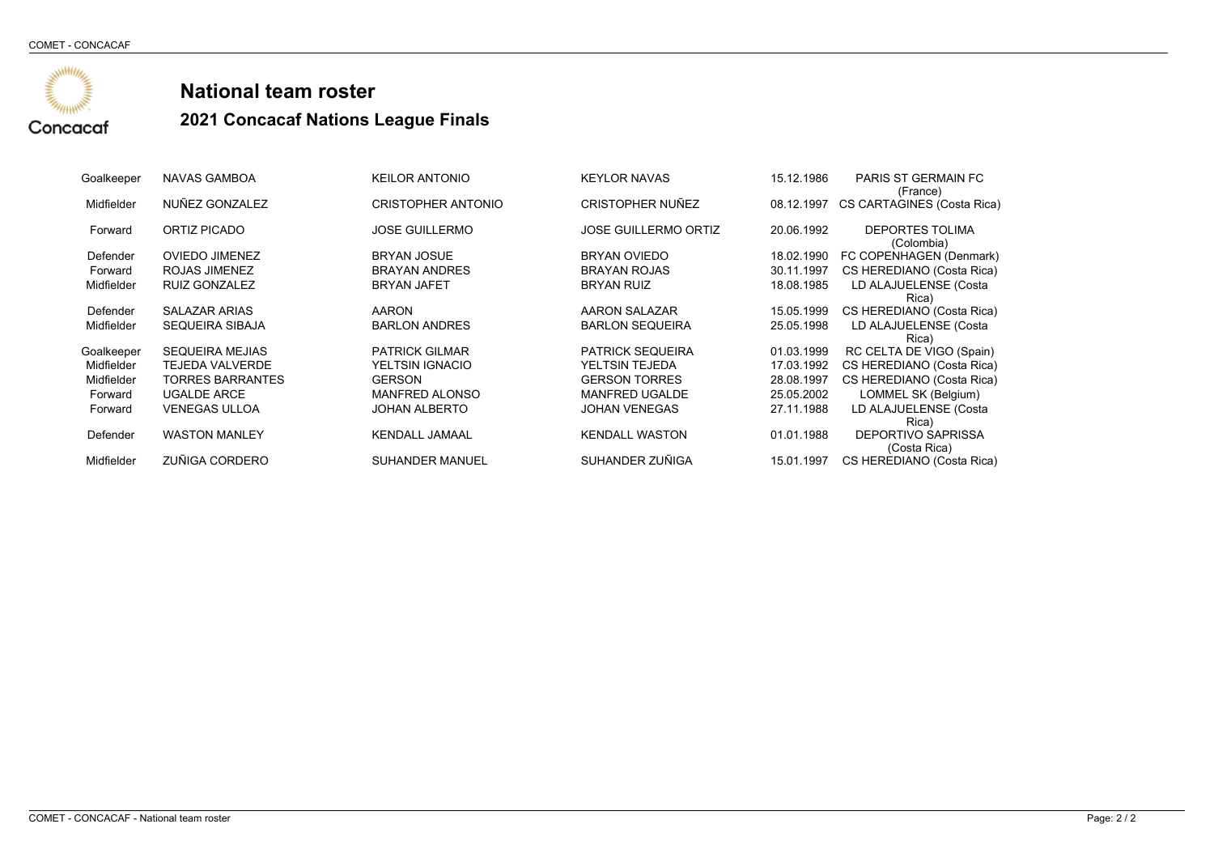

| Goalkeeper | NAVAS GAMBOA            | <b>KEILOR ANTONIO</b>     | <b>KEYLOR NAVAS</b>         | 15.12.1986 | <b>PARIS ST GERMAIN FC</b> |
|------------|-------------------------|---------------------------|-----------------------------|------------|----------------------------|
|            |                         |                           |                             |            | (France)                   |
| Midfielder | NUÑEZ GONZALEZ          | <b>CRISTOPHER ANTONIO</b> | <b>CRISTOPHER NUÑEZ</b>     | 08.12.1997 | CS CARTAGINES (Costa Rica) |
|            |                         |                           |                             |            |                            |
| Forward    | ORTIZ PICADO            | <b>JOSE GUILLERMO</b>     | <b>JOSE GUILLERMO ORTIZ</b> | 20.06.1992 | <b>DEPORTES TOLIMA</b>     |
|            |                         |                           |                             |            | (Colombia)                 |
| Defender   | <b>OVIEDO JIMENEZ</b>   | <b>BRYAN JOSUE</b>        | <b>BRYAN OVIEDO</b>         | 18.02.1990 | FC COPENHAGEN (Denmark)    |
| Forward    | ROJAS JIMENEZ           | <b>BRAYAN ANDRES</b>      | <b>BRAYAN ROJAS</b>         | 30.11.1997 | CS HEREDIANO (Costa Rica)  |
| Midfielder | <b>RUIZ GONZALEZ</b>    | <b>BRYAN JAFET</b>        | <b>BRYAN RUIZ</b>           | 18.08.1985 | LD ALAJUELENSE (Costa      |
|            |                         |                           |                             |            | Rica)                      |
| Defender   | <b>SALAZAR ARIAS</b>    | AARON                     | AARON SALAZAR               | 15.05.1999 | CS HEREDIANO (Costa Rica)  |
| Midfielder | SEQUEIRA SIBAJA         | <b>BARLON ANDRES</b>      | <b>BARLON SEQUEIRA</b>      | 25.05.1998 | LD ALAJUELENSE (Costa      |
|            |                         |                           |                             |            | Rica)                      |
| Goalkeeper | <b>SEQUEIRA MEJIAS</b>  | <b>PATRICK GILMAR</b>     | <b>PATRICK SEQUEIRA</b>     | 01.03.1999 | RC CELTA DE VIGO (Spain)   |
| Midfielder | <b>TEJEDA VALVERDE</b>  | YELTSIN IGNACIO           | YELTSIN TEJEDA              | 17.03.1992 | CS HEREDIANO (Costa Rica)  |
| Midfielder | <b>TORRES BARRANTES</b> | <b>GERSON</b>             | <b>GERSON TORRES</b>        | 28.08.1997 | CS HEREDIANO (Costa Rica)  |
| Forward    | <b>UGALDE ARCE</b>      | <b>MANFRED ALONSO</b>     | <b>MANFRED UGALDE</b>       | 25.05.2002 | LOMMEL SK (Belgium)        |
| Forward    | <b>VENEGAS ULLOA</b>    | <b>JOHAN ALBERTO</b>      | <b>JOHAN VENEGAS</b>        | 27.11.1988 | LD ALAJUELENSE (Costa      |
|            |                         |                           |                             |            | Rica)                      |
| Defender   | <b>WASTON MANLEY</b>    | <b>KENDALL JAMAAL</b>     | <b>KENDALL WASTON</b>       | 01.01.1988 | <b>DEPORTIVO SAPRISSA</b>  |
|            |                         |                           |                             |            | (Costa Rica)               |
| Midfielder | ZUÑIGA CORDERO          | <b>SUHANDER MANUEL</b>    | SUHANDER ZUÑIGA             | 15.01.1997 | CS HEREDIANO (Costa Rica)  |
|            |                         |                           |                             |            |                            |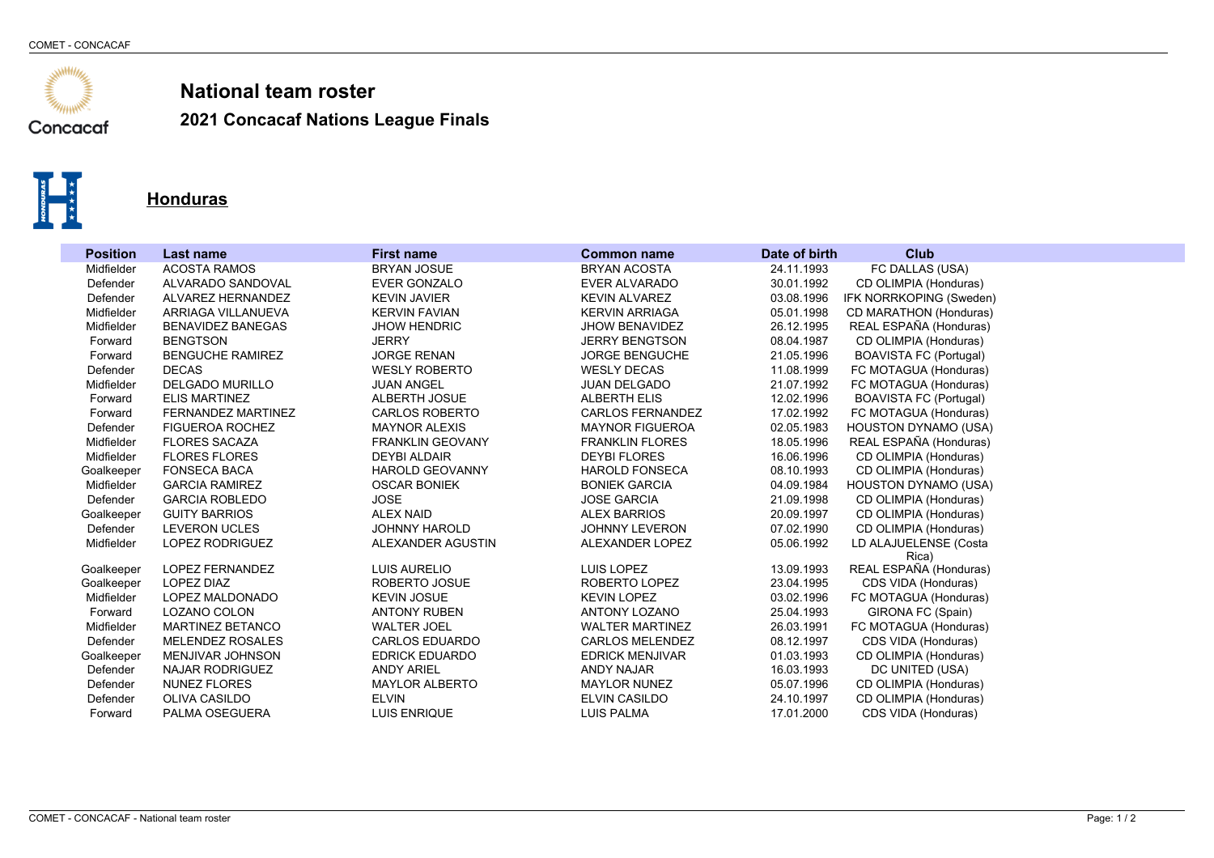

**2021 Concacaf Nations League Finals**



#### **Honduras**

| <b>Position</b> | Last name                 | <b>First name</b>       | <b>Common name</b>      | Date of birth | <b>Club</b>                   |
|-----------------|---------------------------|-------------------------|-------------------------|---------------|-------------------------------|
| Midfielder      | <b>ACOSTA RAMOS</b>       | <b>BRYAN JOSUE</b>      | <b>BRYAN ACOSTA</b>     | 24.11.1993    | FC DALLAS (USA)               |
| Defender        | ALVARADO SANDOVAL         | <b>EVER GONZALO</b>     | <b>EVER ALVARADO</b>    | 30.01.1992    | CD OLIMPIA (Honduras)         |
| Defender        | ALVAREZ HERNANDEZ         | <b>KEVIN JAVIER</b>     | <b>KEVIN ALVAREZ</b>    | 03.08.1996    | IFK NORRKOPING (Sweden)       |
| Midfielder      | ARRIAGA VILLANUEVA        | <b>KERVIN FAVIAN</b>    | <b>KERVIN ARRIAGA</b>   | 05.01.1998    | CD MARATHON (Honduras)        |
| Midfielder      | <b>BENAVIDEZ BANEGAS</b>  | <b>JHOW HENDRIC</b>     | <b>JHOW BENAVIDEZ</b>   | 26.12.1995    | REAL ESPAÑA (Honduras)        |
| Forward         | <b>BENGTSON</b>           | <b>JERRY</b>            | <b>JERRY BENGTSON</b>   | 08.04.1987    | CD OLIMPIA (Honduras)         |
| Forward         | <b>BENGUCHE RAMIREZ</b>   | <b>JORGE RENAN</b>      | <b>JORGE BENGUCHE</b>   | 21.05.1996    | <b>BOAVISTA FC (Portugal)</b> |
| Defender        | <b>DECAS</b>              | <b>WESLY ROBERTO</b>    | <b>WESLY DECAS</b>      | 11.08.1999    | FC MOTAGUA (Honduras)         |
| Midfielder      | <b>DELGADO MURILLO</b>    | <b>JUAN ANGEL</b>       | <b>JUAN DELGADO</b>     | 21.07.1992    | FC MOTAGUA (Honduras)         |
| Forward         | <b>ELIS MARTINEZ</b>      | ALBERTH JOSUE           | <b>ALBERTH ELIS</b>     | 12.02.1996    | <b>BOAVISTA FC (Portugal)</b> |
| Forward         | <b>FERNANDEZ MARTINEZ</b> | <b>CARLOS ROBERTO</b>   | <b>CARLOS FERNANDEZ</b> | 17.02.1992    | FC MOTAGUA (Honduras)         |
| Defender        | <b>FIGUEROA ROCHEZ</b>    | <b>MAYNOR ALEXIS</b>    | <b>MAYNOR FIGUEROA</b>  | 02.05.1983    | <b>HOUSTON DYNAMO (USA)</b>   |
| Midfielder      | <b>FLORES SACAZA</b>      | <b>FRANKLIN GEOVANY</b> | <b>FRANKLIN FLORES</b>  | 18.05.1996    | REAL ESPAÑA (Honduras)        |
| Midfielder      | <b>FLORES FLORES</b>      | <b>DEYBI ALDAIR</b>     | <b>DEYBI FLORES</b>     | 16.06.1996    | CD OLIMPIA (Honduras)         |
| Goalkeeper      | <b>FONSECA BACA</b>       | <b>HAROLD GEOVANNY</b>  | <b>HAROLD FONSECA</b>   | 08.10.1993    | CD OLIMPIA (Honduras)         |
| Midfielder      | <b>GARCIA RAMIREZ</b>     | <b>OSCAR BONIEK</b>     | <b>BONIEK GARCIA</b>    | 04.09.1984    | <b>HOUSTON DYNAMO (USA)</b>   |
| Defender        | <b>GARCIA ROBLEDO</b>     | <b>JOSE</b>             | <b>JOSE GARCIA</b>      | 21.09.1998    | CD OLIMPIA (Honduras)         |
| Goalkeeper      | <b>GUITY BARRIOS</b>      | <b>ALEX NAID</b>        | <b>ALEX BARRIOS</b>     | 20.09.1997    | CD OLIMPIA (Honduras)         |
| Defender        | <b>LEVERON UCLES</b>      | <b>JOHNNY HAROLD</b>    | <b>JOHNNY LEVERON</b>   | 07.02.1990    | CD OLIMPIA (Honduras)         |
| Midfielder      | LOPEZ RODRIGUEZ           | ALEXANDER AGUSTIN       | ALEXANDER LOPEZ         | 05.06.1992    | LD ALAJUELENSE (Costa         |
|                 |                           |                         |                         |               | Rica)                         |
| Goalkeeper      | <b>LOPEZ FERNANDEZ</b>    | <b>LUIS AURELIO</b>     | LUIS LOPEZ              | 13.09.1993    | REAL ESPAÑA (Honduras)        |
| Goalkeeper      | LOPEZ DIAZ                | ROBERTO JOSUE           | ROBERTO LOPEZ           | 23.04.1995    | CDS VIDA (Honduras)           |
| Midfielder      | LOPEZ MALDONADO           | <b>KEVIN JOSUE</b>      | <b>KEVIN LOPEZ</b>      | 03.02.1996    | FC MOTAGUA (Honduras)         |
| Forward         | LOZANO COLON              | <b>ANTONY RUBEN</b>     | ANTONY LOZANO           | 25.04.1993    | GIRONA FC (Spain)             |
| Midfielder      | <b>MARTINEZ BETANCO</b>   | <b>WALTER JOEL</b>      | <b>WALTER MARTINEZ</b>  | 26.03.1991    | FC MOTAGUA (Honduras)         |
| Defender        | <b>MELENDEZ ROSALES</b>   | <b>CARLOS EDUARDO</b>   | <b>CARLOS MELENDEZ</b>  | 08.12.1997    | CDS VIDA (Honduras)           |
| Goalkeeper      | <b>MENJIVAR JOHNSON</b>   | <b>EDRICK EDUARDO</b>   | <b>EDRICK MENJIVAR</b>  | 01.03.1993    | CD OLIMPIA (Honduras)         |
| Defender        | <b>NAJAR RODRIGUEZ</b>    | <b>ANDY ARIEL</b>       | <b>ANDY NAJAR</b>       | 16.03.1993    | DC UNITED (USA)               |
| Defender        | <b>NUNEZ FLORES</b>       | <b>MAYLOR ALBERTO</b>   | <b>MAYLOR NUNEZ</b>     | 05.07.1996    | CD OLIMPIA (Honduras)         |
| Defender        | <b>OLIVA CASILDO</b>      | <b>ELVIN</b>            | <b>ELVIN CASILDO</b>    | 24.10.1997    | CD OLIMPIA (Honduras)         |
| Forward         | PALMA OSEGUERA            | <b>LUIS ENRIQUE</b>     | <b>LUIS PALMA</b>       | 17.01.2000    | CDS VIDA (Honduras)           |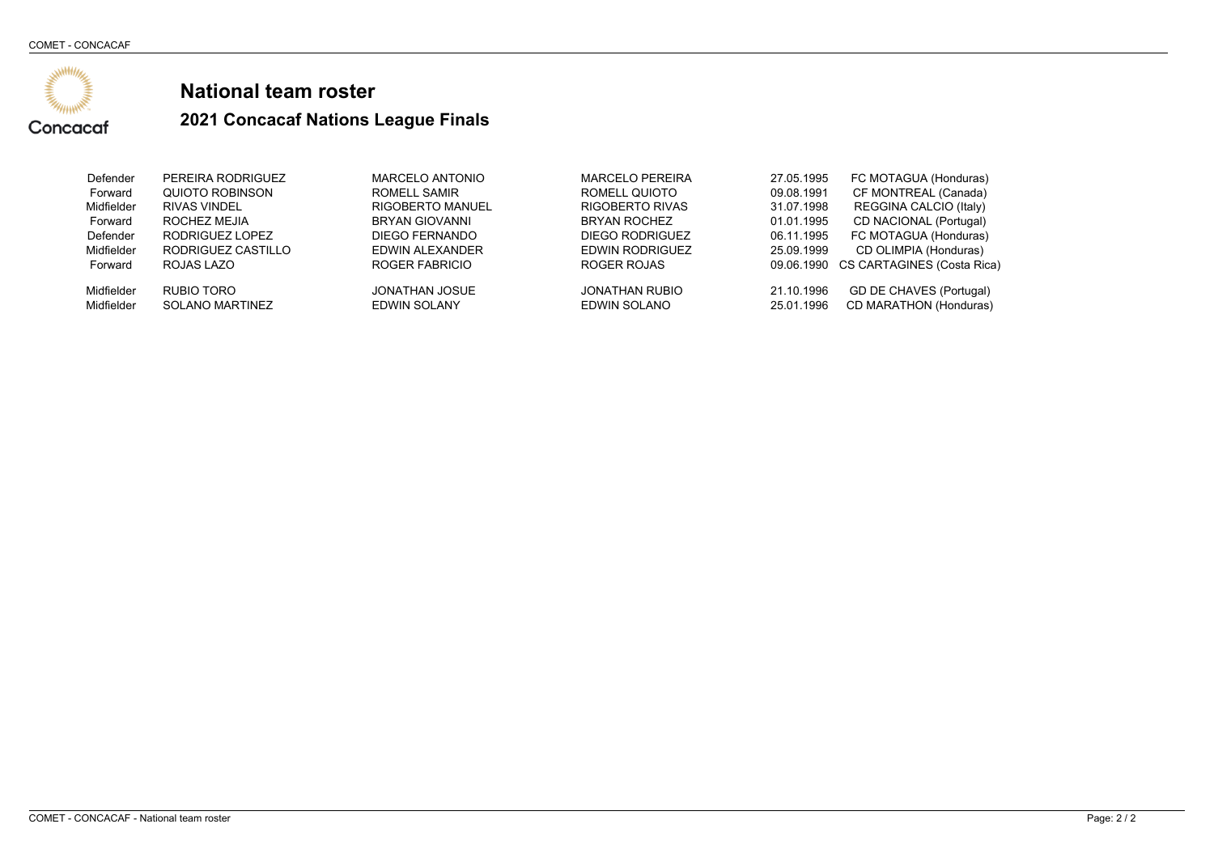

| Defender                 | PEREIRA RODRIGUEZ                    | MARCELO ANTONIO                | <b>MARCELO PEREIRA</b>                | 27.05.1995               | FC MOTAGUA (Honduras)                             |
|--------------------------|--------------------------------------|--------------------------------|---------------------------------------|--------------------------|---------------------------------------------------|
| Forward                  | QUIOTO ROBINSON                      | ROMELL SAMIR                   | ROMELL QUIOTO                         | 09.08.1991               | CF MONTREAL (Canada)                              |
| Midfielder               | <b>RIVAS VINDEL</b>                  | <b>RIGOBERTO MANUEL</b>        | <b>RIGOBERTO RIVAS</b>                | 31.07.1998               | REGGINA CALCIO (Italy)                            |
| Forward                  | ROCHEZ MEJIA                         | <b>BRYAN GIOVANNI</b>          | <b>BRYAN ROCHEZ</b>                   | 01.01.1995               | CD NACIONAL (Portugal)                            |
| Defender                 | RODRIGUEZ LOPEZ                      | DIEGO FERNANDO                 | DIEGO RODRIGUEZ                       | 06.11.1995               | FC MOTAGUA (Honduras)                             |
| Midfielder               | RODRIGUEZ CASTILLO                   | EDWIN ALEXANDER                | EDWIN RODRIGUEZ                       | 25.09.1999               | CD OLIMPIA (Honduras)                             |
| Forward                  | ROJAS LAZO                           | ROGER FABRICIO                 | ROGER ROJAS                           |                          | 09.06.1990 CS CARTAGINES (Costa Rica)             |
| Midfielder<br>Midfielder | RUBIO TORO<br><b>SOLANO MARTINEZ</b> | JONATHAN JOSUE<br>EDWIN SOLANY | <b>JONATHAN RUBIO</b><br>EDWIN SOLANO | 21.10.1996<br>25.01.1996 | GD DE CHAVES (Portugal)<br>CD MARATHON (Honduras) |
|                          |                                      |                                |                                       |                          |                                                   |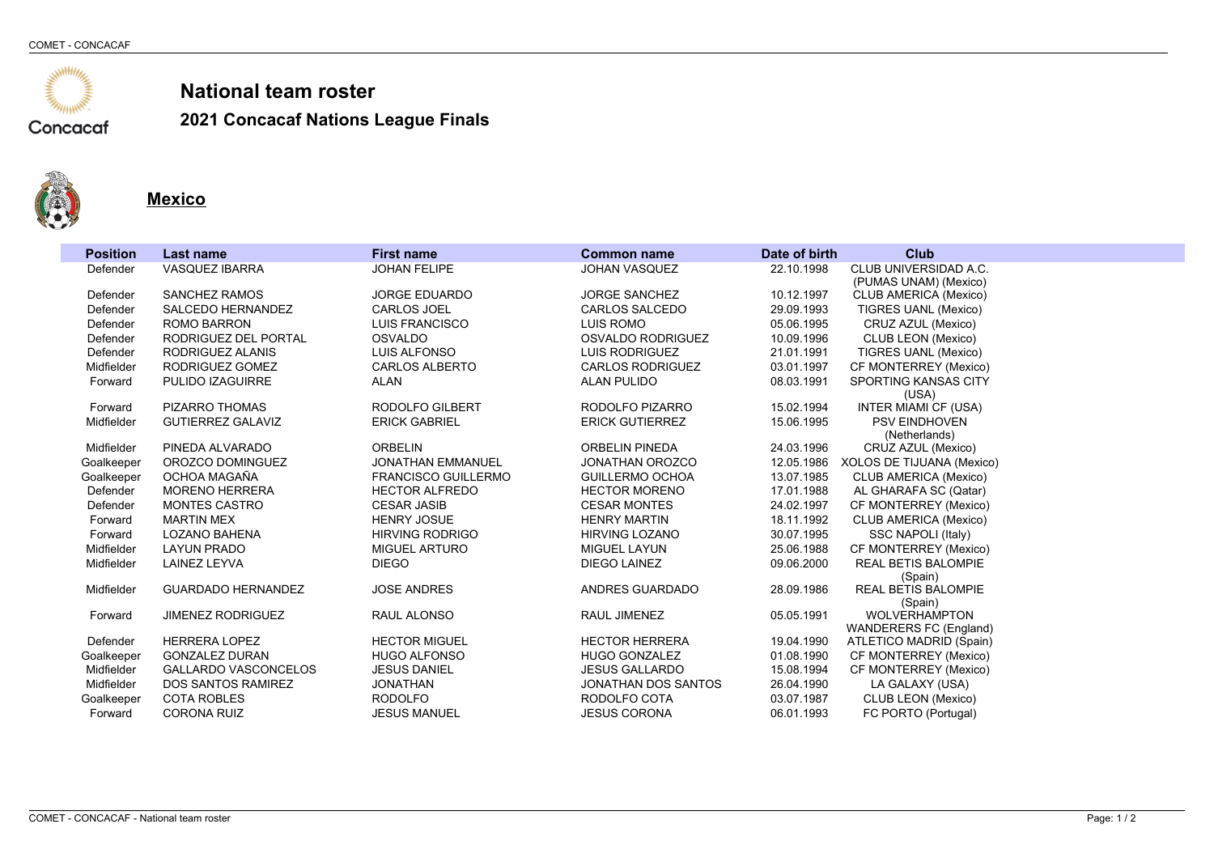

**2021 Concacaf Nations League Finals**



L

**Mexico**

| <b>Position</b> | Last name                                | <b>First name</b>          | <b>Common name</b>                            | Date of birth | <b>Club</b>                                          |
|-----------------|------------------------------------------|----------------------------|-----------------------------------------------|---------------|------------------------------------------------------|
| Defender        | <b>VASQUEZ IBARRA</b>                    | <b>JOHAN FELIPE</b>        | <b>JOHAN VASQUEZ</b>                          | 22.10.1998    | CLUB UNIVERSIDAD A.C.                                |
|                 |                                          |                            |                                               |               | (PUMAS UNAM) (Mexico)                                |
| Defender        | <b>SANCHEZ RAMOS</b>                     | <b>JORGE EDUARDO</b>       | <b>JORGE SANCHEZ</b>                          | 10.12.1997    | <b>CLUB AMERICA (Mexico)</b>                         |
| Defender        | <b>SALCEDO HERNANDEZ</b>                 | <b>CARLOS JOEL</b>         | CARLOS SALCEDO                                | 29.09.1993    | <b>TIGRES UANL (Mexico)</b>                          |
| Defender        | <b>ROMO BARRON</b>                       | <b>LUIS FRANCISCO</b>      | LUIS ROMO                                     | 05.06.1995    | CRUZ AZUL (Mexico)                                   |
| Defender        | RODRIGUEZ DEL PORTAL<br>RODRIGUEZ ALANIS | <b>OSVALDO</b>             | OSVALDO RODRIGUEZ<br><b>LUIS RODRIGUEZ</b>    | 10.09.1996    | CLUB LEON (Mexico)                                   |
| Defender        | RODRIGUEZ GOMEZ                          | LUIS ALFONSO               |                                               | 21.01.1991    | <b>TIGRES UANL (Mexico)</b>                          |
| Midfielder      | PULIDO IZAGUIRRE                         | <b>CARLOS ALBERTO</b>      | <b>CARLOS RODRIGUEZ</b><br><b>ALAN PULIDO</b> | 03.01.1997    | CF MONTERREY (Mexico)<br><b>SPORTING KANSAS CITY</b> |
| Forward         |                                          | ALAN                       |                                               | 08.03.1991    | (USA)                                                |
| Forward         | PIZARRO THOMAS                           | RODOLFO GILBERT            | RODOLFO PIZARRO                               | 15.02.1994    | <b>INTER MIAMI CF (USA)</b>                          |
| Midfielder      | <b>GUTIERREZ GALAVIZ</b>                 | <b>ERICK GABRIEL</b>       | <b>ERICK GUTIERREZ</b>                        | 15.06.1995    | <b>PSV EINDHOVEN</b>                                 |
|                 |                                          |                            |                                               |               | (Netherlands)                                        |
| Midfielder      | PINEDA ALVARADO                          | <b>ORBELIN</b>             | ORBELIN PINEDA                                | 24.03.1996    | CRUZ AZUL (Mexico)                                   |
| Goalkeeper      | OROZCO DOMINGUEZ                         | <b>JONATHAN EMMANUEL</b>   | <b>JONATHAN OROZCO</b>                        | 12.05.1986    | XOLOS DE TIJUANA (Mexico)                            |
| Goalkeeper      | OCHOA MAGAÑA                             | <b>FRANCISCO GUILLERMO</b> | <b>GUILLERMO OCHOA</b>                        | 13.07.1985    | <b>CLUB AMERICA (Mexico)</b>                         |
| Defender        | <b>MORENO HERRERA</b>                    | <b>HECTOR ALFREDO</b>      | <b>HECTOR MORENO</b>                          | 17.01.1988    | AL GHARAFA SC (Qatar)                                |
| Defender        | <b>MONTES CASTRO</b>                     | <b>CESAR JASIB</b>         | <b>CESAR MONTES</b>                           | 24.02.1997    | CF MONTERREY (Mexico)                                |
| Forward         | <b>MARTIN MEX</b>                        | <b>HENRY JOSUE</b>         | <b>HENRY MARTIN</b>                           | 18.11.1992    | <b>CLUB AMERICA (Mexico)</b>                         |
| Forward         | <b>LOZANO BAHENA</b>                     | <b>HIRVING RODRIGO</b>     | <b>HIRVING LOZANO</b>                         | 30.07.1995    | SSC NAPOLI (Italy)                                   |
| Midfielder      | <b>LAYUN PRADO</b>                       | <b>MIGUEL ARTURO</b>       | MIGUEL LAYUN                                  | 25.06.1988    | CF MONTERREY (Mexico)                                |
| Midfielder      | LAINEZ LEYVA                             | <b>DIEGO</b>               | DIEGO LAINEZ                                  | 09.06.2000    | REAL BETIS BALOMPIE                                  |
|                 |                                          |                            |                                               |               | (Spain)                                              |
| Midfielder      | <b>GUARDADO HERNANDEZ</b>                | <b>JOSE ANDRES</b>         | ANDRES GUARDADO                               | 28.09.1986    | <b>REAL BETIS BALOMPIE</b>                           |
| Forward         | <b>JIMENEZ RODRIGUEZ</b>                 | RAUL ALONSO                | <b>RAUL JIMENEZ</b>                           | 05.05.1991    | (Spain)<br><b>WOLVERHAMPTON</b>                      |
|                 |                                          |                            |                                               |               | WANDERERS FC (England)                               |
| Defender        | <b>HERRERA LOPEZ</b>                     | <b>HECTOR MIGUEL</b>       | <b>HECTOR HERRERA</b>                         | 19.04.1990    | ATLETICO MADRID (Spain)                              |
| Goalkeeper      | <b>GONZALEZ DURAN</b>                    | <b>HUGO ALFONSO</b>        | <b>HUGO GONZALEZ</b>                          | 01.08.1990    | CF MONTERREY (Mexico)                                |
| Midfielder      | <b>GALLARDO VASCONCELOS</b>              | <b>JESUS DANIEL</b>        | <b>JESUS GALLARDO</b>                         | 15.08.1994    | CF MONTERREY (Mexico)                                |
| Midfielder      | <b>DOS SANTOS RAMIREZ</b>                | <b>JONATHAN</b>            | <b>JONATHAN DOS SANTOS</b>                    | 26.04.1990    | LA GALAXY (USA)                                      |
| Goalkeeper      | <b>COTA ROBLES</b>                       | <b>RODOLFO</b>             | RODOLFO COTA                                  | 03.07.1987    | CLUB LEON (Mexico)                                   |
| Forward         | <b>CORONA RUIZ</b>                       | <b>JESUS MANUEL</b>        | <b>JESUS CORONA</b>                           | 06.01.1993    | FC PORTO (Portugal)                                  |
|                 |                                          |                            |                                               |               |                                                      |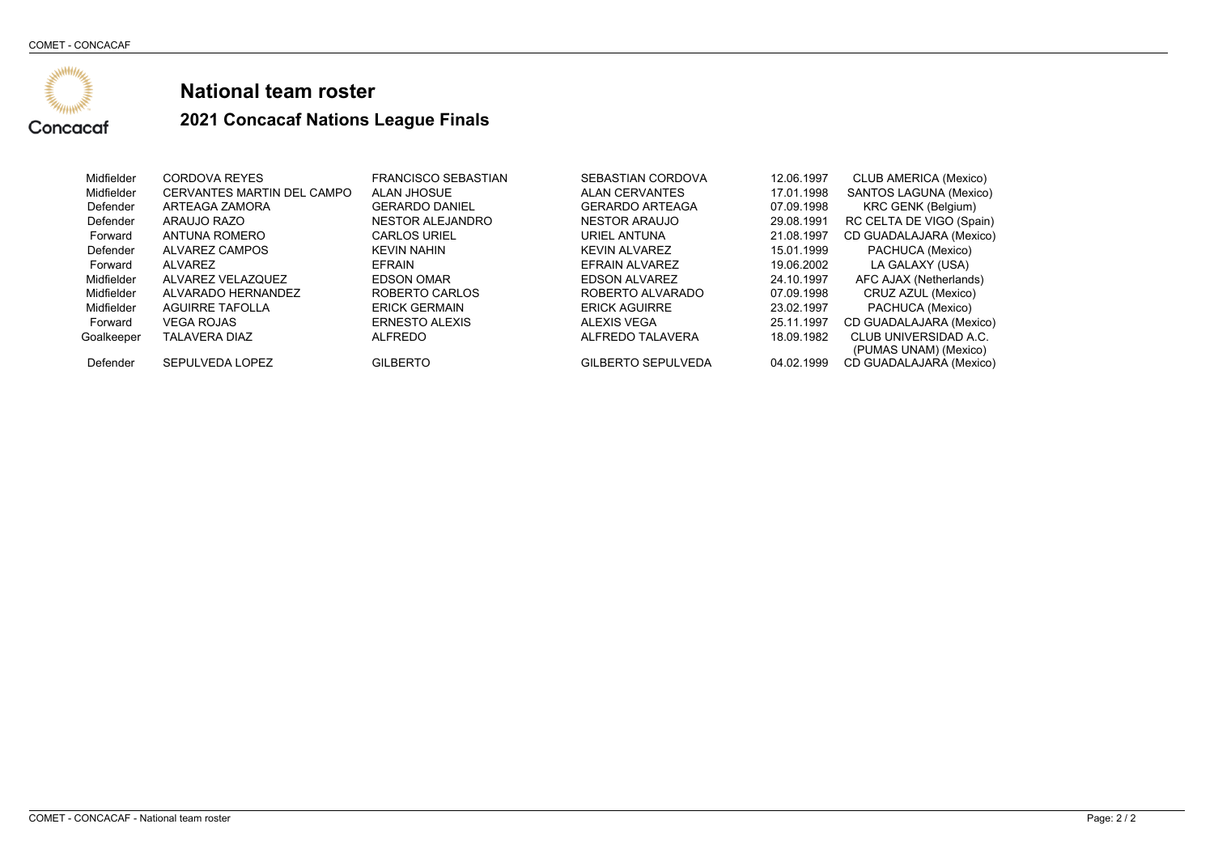

| Midfielder | <b>CORDOVA REYES</b>       | <b>FRANCISCO SEBASTIAN</b> | SEBASTIAN CORDOVA         | 12.06.1997 | <b>CLUB AMERICA (Mexico)</b>                   |
|------------|----------------------------|----------------------------|---------------------------|------------|------------------------------------------------|
| Midfielder | CERVANTES MARTIN DEL CAMPO | ALAN JHOSUE                | <b>ALAN CERVANTES</b>     | 17.01.1998 | SANTOS LAGUNA (Mexico)                         |
| Defender   | ARTEAGA ZAMORA             | <b>GERARDO DANIEL</b>      | <b>GERARDO ARTEAGA</b>    | 07.09.1998 | KRC GENK (Belgium)                             |
| Defender   | ARAUJO RAZO                | NESTOR ALEJANDRO           | <b>NESTOR ARAUJO</b>      | 29.08.1991 | RC CELTA DE VIGO (Spain)                       |
| Forward    | ANTUNA ROMERO              | <b>CARLOS URIEL</b>        | URIEL ANTUNA              | 21.08.1997 | CD GUADALAJARA (Mexico)                        |
| Defender   | ALVAREZ CAMPOS             | <b>KEVIN NAHIN</b>         | <b>KEVIN ALVAREZ</b>      | 15.01.1999 | PACHUCA (Mexico)                               |
| Forward    | ALVAREZ                    | <b>EFRAIN</b>              | EFRAIN ALVAREZ            | 19.06.2002 | LA GALAXY (USA)                                |
| Midfielder | ALVAREZ VELAZQUEZ          | <b>EDSON OMAR</b>          | <b>EDSON ALVAREZ</b>      | 24.10.1997 | AFC AJAX (Netherlands)                         |
| Midfielder | ALVARADO HERNANDEZ         | ROBERTO CARLOS             | ROBERTO ALVARADO          | 07.09.1998 | CRUZ AZUL (Mexico)                             |
| Midfielder | <b>AGUIRRE TAFOLLA</b>     | <b>ERICK GERMAIN</b>       | <b>ERICK AGUIRRE</b>      | 23.02.1997 | PACHUCA (Mexico)                               |
| Forward    | <b>VEGA ROJAS</b>          | <b>ERNESTO ALEXIS</b>      | ALEXIS VEGA               | 25.11.1997 | CD GUADALAJARA (Mexico)                        |
| Goalkeeper | <b>TALAVERA DIAZ</b>       | ALFREDO                    | ALFREDO TALAVERA          | 18.09.1982 | CLUB UNIVERSIDAD A.C.<br>(PUMAS UNAM) (Mexico) |
| Defender   | SEPULVEDA LOPEZ            | <b>GILBERTO</b>            | <b>GILBERTO SEPULVEDA</b> | 04.02.1999 | CD GUADALAJARA (Mexico)                        |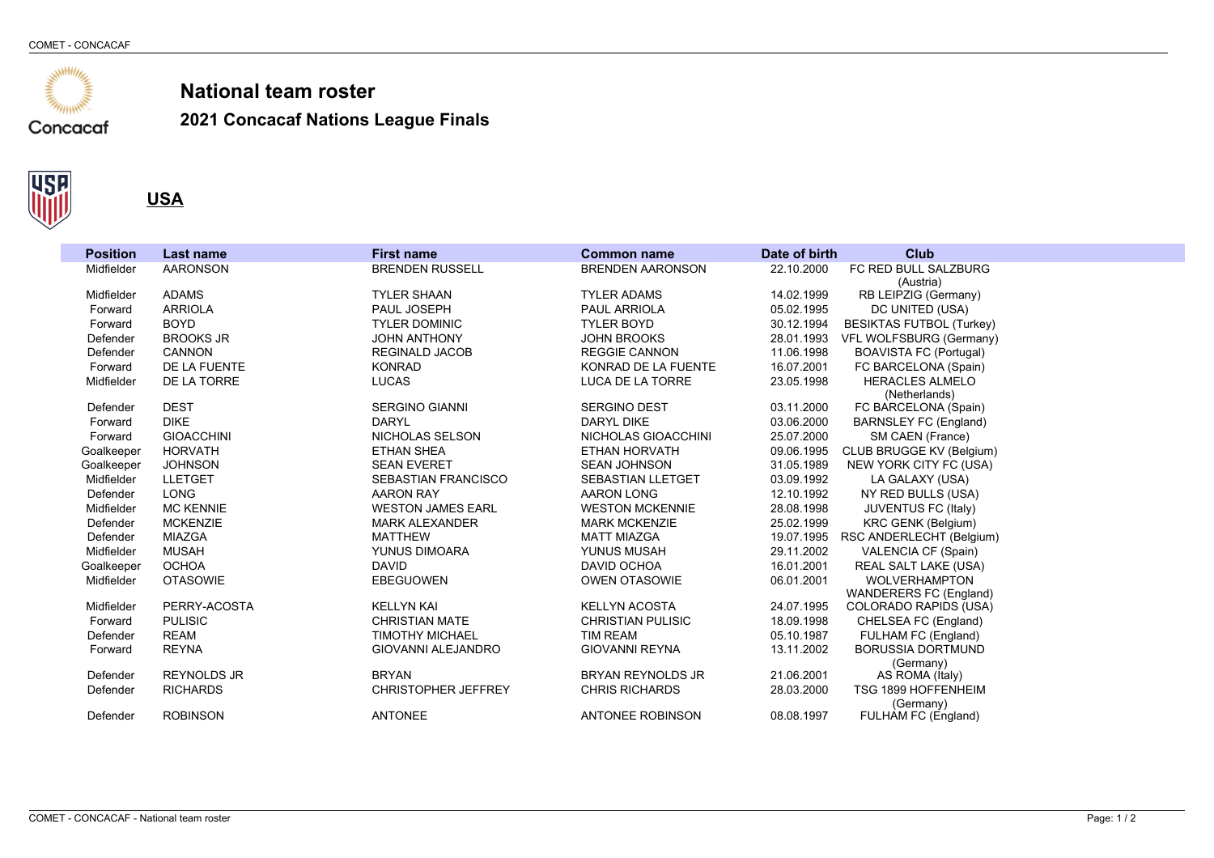





| FC RED BULL SALZBURG<br>Midfielder<br><b>AARONSON</b><br><b>BRENDEN RUSSELL</b><br><b>BRENDEN AARONSON</b><br>22.10.2000<br>(Austria)<br><b>ADAMS</b><br>Midfielder<br><b>TYLER SHAAN</b><br><b>TYLER ADAMS</b><br>14.02.1999<br>RB LEIPZIG (Germany)<br><b>ARRIOLA</b><br>PAUL JOSEPH<br><b>PAUL ARRIOLA</b><br>05.02.1995<br>DC UNITED (USA)<br>Forward<br><b>BOYD</b><br><b>TYLER DOMINIC</b><br><b>TYLER BOYD</b><br>30.12.1994<br><b>BESIKTAS FUTBOL (Turkey)</b><br>Forward<br>Defender<br><b>BROOKS JR</b><br><b>JOHN ANTHONY</b><br><b>JOHN BROOKS</b><br>28.01.1993<br>VFL WOLFSBURG (Germany)<br>CANNON<br><b>REGINALD JACOB</b><br><b>REGGIE CANNON</b><br>11.06.1998<br><b>BOAVISTA FC (Portugal)</b><br>Defender<br>DE LA FUENTE<br>FC BARCELONA (Spain)<br>Forward<br><b>KONRAD</b><br>KONRAD DE LA FUENTE<br>16.07.2001<br>DE LA TORRE<br><b>LUCAS</b><br><b>HERACLES ALMELO</b><br>Midfielder<br>LUCA DE LA TORRE<br>23.05.1998<br>(Netherlands)<br><b>DEST</b><br>SERGINO GIANNI<br>Defender<br><b>SERGINO DEST</b><br>03.11.2000<br>FC BARCELONA (Spain)<br><b>DIKE</b><br><b>DARYL</b><br><b>DARYL DIKE</b><br>03.06.2000<br>Forward<br>BARNSLEY FC (England)<br><b>GIOACCHINI</b><br>NICHOLAS SELSON<br>NICHOLAS GIOACCHINI<br>25.07.2000<br>SM CAEN (France)<br>Forward<br><b>HORVATH</b><br>CLUB BRUGGE KV (Belgium)<br>Goalkeeper<br><b>ETHAN SHEA</b><br>ETHAN HORVATH<br>09.06.1995<br><b>SEAN EVERET</b><br>31.05.1989<br>NEW YORK CITY FC (USA)<br>Goalkeeper<br><b>JOHNSON</b><br><b>SEAN JOHNSON</b><br>Midfielder<br><b>LLETGET</b><br><b>SEBASTIAN FRANCISCO</b><br><b>SEBASTIAN LLETGET</b><br>03.09.1992<br>LA GALAXY (USA)<br><b>LONG</b><br>Defender<br>12.10.1992<br>NY RED BULLS (USA)<br><b>AARON RAY</b><br><b>AARON LONG</b><br><b>MC KENNIE</b><br>JUVENTUS FC (Italy)<br>Midfielder<br><b>WESTON JAMES EARL</b><br><b>WESTON MCKENNIE</b><br>28.08.1998 | <b>Position</b> | Last name       | <b>First name</b>     | <b>Common name</b>   | Date of birth | <b>Club</b>               |
|---------------------------------------------------------------------------------------------------------------------------------------------------------------------------------------------------------------------------------------------------------------------------------------------------------------------------------------------------------------------------------------------------------------------------------------------------------------------------------------------------------------------------------------------------------------------------------------------------------------------------------------------------------------------------------------------------------------------------------------------------------------------------------------------------------------------------------------------------------------------------------------------------------------------------------------------------------------------------------------------------------------------------------------------------------------------------------------------------------------------------------------------------------------------------------------------------------------------------------------------------------------------------------------------------------------------------------------------------------------------------------------------------------------------------------------------------------------------------------------------------------------------------------------------------------------------------------------------------------------------------------------------------------------------------------------------------------------------------------------------------------------------------------------------------------------------------------------------------------------------------------------------------|-----------------|-----------------|-----------------------|----------------------|---------------|---------------------------|
|                                                                                                                                                                                                                                                                                                                                                                                                                                                                                                                                                                                                                                                                                                                                                                                                                                                                                                                                                                                                                                                                                                                                                                                                                                                                                                                                                                                                                                                                                                                                                                                                                                                                                                                                                                                                                                                                                                   |                 |                 |                       |                      |               |                           |
|                                                                                                                                                                                                                                                                                                                                                                                                                                                                                                                                                                                                                                                                                                                                                                                                                                                                                                                                                                                                                                                                                                                                                                                                                                                                                                                                                                                                                                                                                                                                                                                                                                                                                                                                                                                                                                                                                                   |                 |                 |                       |                      |               |                           |
|                                                                                                                                                                                                                                                                                                                                                                                                                                                                                                                                                                                                                                                                                                                                                                                                                                                                                                                                                                                                                                                                                                                                                                                                                                                                                                                                                                                                                                                                                                                                                                                                                                                                                                                                                                                                                                                                                                   |                 |                 |                       |                      |               |                           |
|                                                                                                                                                                                                                                                                                                                                                                                                                                                                                                                                                                                                                                                                                                                                                                                                                                                                                                                                                                                                                                                                                                                                                                                                                                                                                                                                                                                                                                                                                                                                                                                                                                                                                                                                                                                                                                                                                                   |                 |                 |                       |                      |               |                           |
|                                                                                                                                                                                                                                                                                                                                                                                                                                                                                                                                                                                                                                                                                                                                                                                                                                                                                                                                                                                                                                                                                                                                                                                                                                                                                                                                                                                                                                                                                                                                                                                                                                                                                                                                                                                                                                                                                                   |                 |                 |                       |                      |               |                           |
|                                                                                                                                                                                                                                                                                                                                                                                                                                                                                                                                                                                                                                                                                                                                                                                                                                                                                                                                                                                                                                                                                                                                                                                                                                                                                                                                                                                                                                                                                                                                                                                                                                                                                                                                                                                                                                                                                                   |                 |                 |                       |                      |               |                           |
|                                                                                                                                                                                                                                                                                                                                                                                                                                                                                                                                                                                                                                                                                                                                                                                                                                                                                                                                                                                                                                                                                                                                                                                                                                                                                                                                                                                                                                                                                                                                                                                                                                                                                                                                                                                                                                                                                                   |                 |                 |                       |                      |               |                           |
|                                                                                                                                                                                                                                                                                                                                                                                                                                                                                                                                                                                                                                                                                                                                                                                                                                                                                                                                                                                                                                                                                                                                                                                                                                                                                                                                                                                                                                                                                                                                                                                                                                                                                                                                                                                                                                                                                                   |                 |                 |                       |                      |               |                           |
|                                                                                                                                                                                                                                                                                                                                                                                                                                                                                                                                                                                                                                                                                                                                                                                                                                                                                                                                                                                                                                                                                                                                                                                                                                                                                                                                                                                                                                                                                                                                                                                                                                                                                                                                                                                                                                                                                                   |                 |                 |                       |                      |               |                           |
|                                                                                                                                                                                                                                                                                                                                                                                                                                                                                                                                                                                                                                                                                                                                                                                                                                                                                                                                                                                                                                                                                                                                                                                                                                                                                                                                                                                                                                                                                                                                                                                                                                                                                                                                                                                                                                                                                                   |                 |                 |                       |                      |               |                           |
|                                                                                                                                                                                                                                                                                                                                                                                                                                                                                                                                                                                                                                                                                                                                                                                                                                                                                                                                                                                                                                                                                                                                                                                                                                                                                                                                                                                                                                                                                                                                                                                                                                                                                                                                                                                                                                                                                                   |                 |                 |                       |                      |               |                           |
|                                                                                                                                                                                                                                                                                                                                                                                                                                                                                                                                                                                                                                                                                                                                                                                                                                                                                                                                                                                                                                                                                                                                                                                                                                                                                                                                                                                                                                                                                                                                                                                                                                                                                                                                                                                                                                                                                                   |                 |                 |                       |                      |               |                           |
|                                                                                                                                                                                                                                                                                                                                                                                                                                                                                                                                                                                                                                                                                                                                                                                                                                                                                                                                                                                                                                                                                                                                                                                                                                                                                                                                                                                                                                                                                                                                                                                                                                                                                                                                                                                                                                                                                                   |                 |                 |                       |                      |               |                           |
|                                                                                                                                                                                                                                                                                                                                                                                                                                                                                                                                                                                                                                                                                                                                                                                                                                                                                                                                                                                                                                                                                                                                                                                                                                                                                                                                                                                                                                                                                                                                                                                                                                                                                                                                                                                                                                                                                                   |                 |                 |                       |                      |               |                           |
|                                                                                                                                                                                                                                                                                                                                                                                                                                                                                                                                                                                                                                                                                                                                                                                                                                                                                                                                                                                                                                                                                                                                                                                                                                                                                                                                                                                                                                                                                                                                                                                                                                                                                                                                                                                                                                                                                                   |                 |                 |                       |                      |               |                           |
|                                                                                                                                                                                                                                                                                                                                                                                                                                                                                                                                                                                                                                                                                                                                                                                                                                                                                                                                                                                                                                                                                                                                                                                                                                                                                                                                                                                                                                                                                                                                                                                                                                                                                                                                                                                                                                                                                                   |                 |                 |                       |                      |               |                           |
|                                                                                                                                                                                                                                                                                                                                                                                                                                                                                                                                                                                                                                                                                                                                                                                                                                                                                                                                                                                                                                                                                                                                                                                                                                                                                                                                                                                                                                                                                                                                                                                                                                                                                                                                                                                                                                                                                                   |                 |                 |                       |                      |               |                           |
|                                                                                                                                                                                                                                                                                                                                                                                                                                                                                                                                                                                                                                                                                                                                                                                                                                                                                                                                                                                                                                                                                                                                                                                                                                                                                                                                                                                                                                                                                                                                                                                                                                                                                                                                                                                                                                                                                                   |                 |                 |                       |                      |               |                           |
|                                                                                                                                                                                                                                                                                                                                                                                                                                                                                                                                                                                                                                                                                                                                                                                                                                                                                                                                                                                                                                                                                                                                                                                                                                                                                                                                                                                                                                                                                                                                                                                                                                                                                                                                                                                                                                                                                                   | Defender        | <b>MCKENZIE</b> | <b>MARK ALEXANDER</b> | <b>MARK MCKENZIE</b> | 25.02.1999    | <b>KRC GENK (Belgium)</b> |
| Defender<br><b>MIAZGA</b><br><b>MATTHEW</b><br><b>MATT MIAZGA</b><br>19.07.1995<br>RSC ANDERLECHT (Belgium)                                                                                                                                                                                                                                                                                                                                                                                                                                                                                                                                                                                                                                                                                                                                                                                                                                                                                                                                                                                                                                                                                                                                                                                                                                                                                                                                                                                                                                                                                                                                                                                                                                                                                                                                                                                       |                 |                 |                       |                      |               |                           |
| Midfielder<br><b>MUSAH</b><br>YUNUS DIMOARA<br>YUNUS MUSAH<br>29.11.2002<br>VALENCIA CF (Spain)                                                                                                                                                                                                                                                                                                                                                                                                                                                                                                                                                                                                                                                                                                                                                                                                                                                                                                                                                                                                                                                                                                                                                                                                                                                                                                                                                                                                                                                                                                                                                                                                                                                                                                                                                                                                   |                 |                 |                       |                      |               |                           |
| Goalkeeper<br><b>OCHOA</b><br><b>DAVID</b><br>DAVID OCHOA<br>16.01.2001<br><b>REAL SALT LAKE (USA)</b>                                                                                                                                                                                                                                                                                                                                                                                                                                                                                                                                                                                                                                                                                                                                                                                                                                                                                                                                                                                                                                                                                                                                                                                                                                                                                                                                                                                                                                                                                                                                                                                                                                                                                                                                                                                            |                 |                 |                       |                      |               |                           |
| <b>WOLVERHAMPTON</b><br><b>OTASOWIE</b><br><b>EBEGUOWEN</b><br><b>OWEN OTASOWIE</b><br>06.01.2001<br>Midfielder                                                                                                                                                                                                                                                                                                                                                                                                                                                                                                                                                                                                                                                                                                                                                                                                                                                                                                                                                                                                                                                                                                                                                                                                                                                                                                                                                                                                                                                                                                                                                                                                                                                                                                                                                                                   |                 |                 |                       |                      |               |                           |
| WANDERERS FC (England)                                                                                                                                                                                                                                                                                                                                                                                                                                                                                                                                                                                                                                                                                                                                                                                                                                                                                                                                                                                                                                                                                                                                                                                                                                                                                                                                                                                                                                                                                                                                                                                                                                                                                                                                                                                                                                                                            |                 |                 |                       |                      |               |                           |
| PERRY-ACOSTA<br>Midfielder<br><b>KELLYN KAI</b><br><b>KELLYN ACOSTA</b><br>24.07.1995<br>COLORADO RAPIDS (USA)                                                                                                                                                                                                                                                                                                                                                                                                                                                                                                                                                                                                                                                                                                                                                                                                                                                                                                                                                                                                                                                                                                                                                                                                                                                                                                                                                                                                                                                                                                                                                                                                                                                                                                                                                                                    |                 |                 |                       |                      |               |                           |
| <b>PULISIC</b><br><b>CHRISTIAN MATE</b><br><b>CHRISTIAN PULISIC</b><br>18.09.1998<br>CHELSEA FC (England)<br>Forward                                                                                                                                                                                                                                                                                                                                                                                                                                                                                                                                                                                                                                                                                                                                                                                                                                                                                                                                                                                                                                                                                                                                                                                                                                                                                                                                                                                                                                                                                                                                                                                                                                                                                                                                                                              |                 |                 |                       |                      |               |                           |
| Defender<br><b>REAM</b><br><b>TIM REAM</b><br>FULHAM FC (England)<br><b>TIMOTHY MICHAEL</b><br>05.10.1987                                                                                                                                                                                                                                                                                                                                                                                                                                                                                                                                                                                                                                                                                                                                                                                                                                                                                                                                                                                                                                                                                                                                                                                                                                                                                                                                                                                                                                                                                                                                                                                                                                                                                                                                                                                         |                 |                 |                       |                      |               |                           |
| <b>BORUSSIA DORTMUND</b><br>Forward<br><b>REYNA</b><br>GIOVANNI ALEJANDRO<br><b>GIOVANNI REYNA</b><br>13.11.2002                                                                                                                                                                                                                                                                                                                                                                                                                                                                                                                                                                                                                                                                                                                                                                                                                                                                                                                                                                                                                                                                                                                                                                                                                                                                                                                                                                                                                                                                                                                                                                                                                                                                                                                                                                                  |                 |                 |                       |                      |               |                           |
| (Germany)                                                                                                                                                                                                                                                                                                                                                                                                                                                                                                                                                                                                                                                                                                                                                                                                                                                                                                                                                                                                                                                                                                                                                                                                                                                                                                                                                                                                                                                                                                                                                                                                                                                                                                                                                                                                                                                                                         |                 |                 |                       |                      |               |                           |
| Defender<br><b>REYNOLDS JR</b><br><b>BRYAN</b><br><b>BRYAN REYNOLDS JR</b><br>21.06.2001<br>AS ROMA (Italy)                                                                                                                                                                                                                                                                                                                                                                                                                                                                                                                                                                                                                                                                                                                                                                                                                                                                                                                                                                                                                                                                                                                                                                                                                                                                                                                                                                                                                                                                                                                                                                                                                                                                                                                                                                                       |                 |                 |                       |                      |               |                           |
| <b>RICHARDS</b><br><b>CHRISTOPHER JEFFREY</b><br><b>CHRIS RICHARDS</b><br>28.03.2000<br>TSG 1899 HOFFENHEIM<br>Defender                                                                                                                                                                                                                                                                                                                                                                                                                                                                                                                                                                                                                                                                                                                                                                                                                                                                                                                                                                                                                                                                                                                                                                                                                                                                                                                                                                                                                                                                                                                                                                                                                                                                                                                                                                           |                 |                 |                       |                      |               |                           |
| (Germany)                                                                                                                                                                                                                                                                                                                                                                                                                                                                                                                                                                                                                                                                                                                                                                                                                                                                                                                                                                                                                                                                                                                                                                                                                                                                                                                                                                                                                                                                                                                                                                                                                                                                                                                                                                                                                                                                                         |                 |                 |                       |                      |               |                           |
| <b>ROBINSON</b><br><b>ANTONEE</b><br><b>ANTONEE ROBINSON</b><br>Defender<br>08.08.1997<br>FULHAM FC (England)                                                                                                                                                                                                                                                                                                                                                                                                                                                                                                                                                                                                                                                                                                                                                                                                                                                                                                                                                                                                                                                                                                                                                                                                                                                                                                                                                                                                                                                                                                                                                                                                                                                                                                                                                                                     |                 |                 |                       |                      |               |                           |